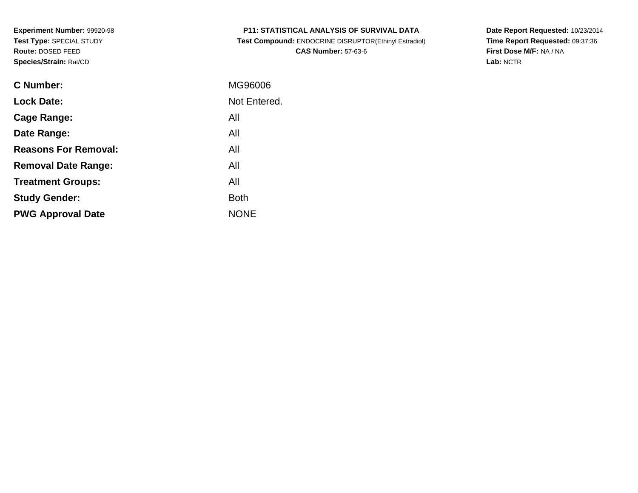| <b>P11: STATISTICAL ANALYSIS OF SURVIVAL DATA</b> |
|---------------------------------------------------|
|---------------------------------------------------|

 **Test Compound:** ENDOCRINE DISRUPTOR(Ethinyl Estradiol)**CAS Number:** 57-63-6

**Date Report Requested:** 10/23/2014 **Time Report Requested:** 09:37:36**First Dose M/F:** NA / NA**Lab:** NCTR

| C Number:                   | MG96006      |
|-----------------------------|--------------|
| <b>Lock Date:</b>           | Not Entered. |
| Cage Range:                 | All          |
| Date Range:                 | All          |
| <b>Reasons For Removal:</b> | All          |
| <b>Removal Date Range:</b>  | All          |
| <b>Treatment Groups:</b>    | All          |
| <b>Study Gender:</b>        | <b>Both</b>  |
| <b>PWG Approval Date</b>    | <b>NONE</b>  |
|                             |              |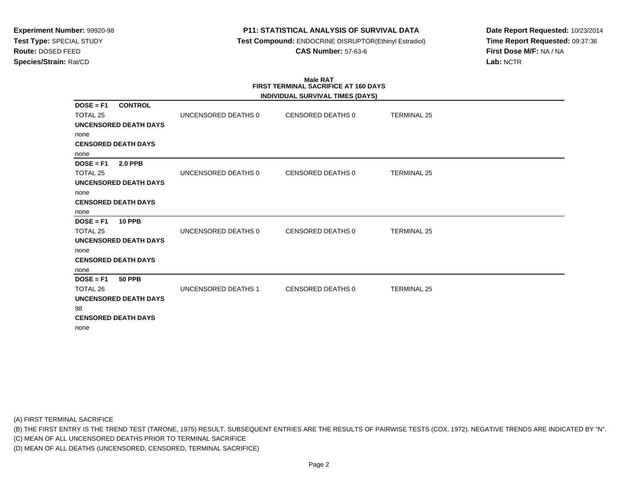# **P11: STATISTICAL ANALYSIS OF SURVIVAL DATA**

 **Test Compound:** ENDOCRINE DISRUPTOR(Ethinyl Estradiol)**CAS Number:** 57-63-6

**Date Report Requested:** 10/23/2014**Time Report Requested:** 09:37:36**First Dose M/F:** NA / NA**Lab:** NCTR

#### **Male RAT FIRST TERMINAL SACRIFICE AT 160 DAYSINDIVIDUAL SURVIVAL TIMES (DAYS)**

|                                                                                                              |                     | INDIVIDUAL SURVIVAL TIMES (DATS) |                    |  |
|--------------------------------------------------------------------------------------------------------------|---------------------|----------------------------------|--------------------|--|
| <b>CONTROL</b><br>$DOSE = F1$<br><b>TOTAL 25</b><br>UNCENSORED DEATH DAYS                                    | UNCENSORED DEATHS 0 | CENSORED DEATHS 0                | <b>TERMINAL 25</b> |  |
| none<br><b>CENSORED DEATH DAYS</b><br>none                                                                   |                     |                                  |                    |  |
| $DOSE = F1$<br><b>2.0 PPB</b><br><b>TOTAL 25</b><br>UNCENSORED DEATH DAYS                                    | UNCENSORED DEATHS 0 | CENSORED DEATHS 0                | <b>TERMINAL 25</b> |  |
| none<br><b>CENSORED DEATH DAYS</b><br>none                                                                   |                     |                                  |                    |  |
| $DOSE = F1$<br><b>10 PPB</b><br>TOTAL 25<br><b>UNCENSORED DEATH DAYS</b>                                     | UNCENSORED DEATHS 0 | CENSORED DEATHS 0                | <b>TERMINAL 25</b> |  |
| none<br><b>CENSORED DEATH DAYS</b><br>none                                                                   |                     |                                  |                    |  |
| $DOSE = F1$<br><b>50 PPB</b><br>TOTAL 26<br><b>UNCENSORED DEATH DAYS</b><br>98<br><b>CENSORED DEATH DAYS</b> | UNCENSORED DEATHS 1 | CENSORED DEATHS 0                | <b>TERMINAL 25</b> |  |
| none                                                                                                         |                     |                                  |                    |  |

(A) FIRST TERMINAL SACRIFICE

(B) THE FIRST ENTRY IS THE TREND TEST (TARONE, 1975) RESULT. SUBSEQUENT ENTRIES ARE THE RESULTS OF PAIRWISE TESTS (COX, 1972). NEGATIVE TRENDS ARE INDICATED BY "N".

(C) MEAN OF ALL UNCENSORED DEATHS PRIOR TO TERMINAL SACRIFICE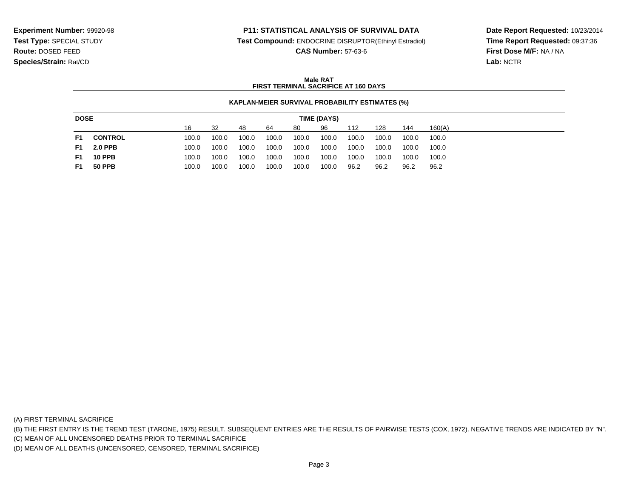### **P11: STATISTICAL ANALYSIS OF SURVIVAL DATA**

**Test Compound:** ENDOCRINE DISRUPTOR(Ethinyl Estradiol)

**CAS Number:** 57-63-6

**Date Report Requested:** 10/23/2014**Time Report Requested:** 09:37:36**First Dose M/F:** NA / NA**Lab:** NCTR

### **Male RATFIRST TERMINAL SACRIFICE AT 160 DAYS**

#### **KAPLAN-MEIER SURVIVAL PROBABILITY ESTIMATES (%)**

| <b>DOSE</b> |                | TIME (DAYS) |       |       |       |       |       |       |       |       |        |
|-------------|----------------|-------------|-------|-------|-------|-------|-------|-------|-------|-------|--------|
|             |                | 16          | -32   | 48    | 64    | 80    | 96    | 112   | 128   | 144   | 160(A) |
| F1          | <b>CONTROL</b> | 100.0       | 100.0 | 100.0 | 100.0 | 100.0 | 100.0 | 100.0 | 100.0 | 100.0 | 100.0  |
| F1.         | <b>2.0 PPB</b> | 100.0       | 100.0 | 100.0 | 100.0 | 100.0 | 100.0 | 100.0 | 100.0 | 100.0 | 100.0  |
| F1          | <b>10 PPB</b>  | 100.0       | 100.0 | 100.0 | 100.0 | 100.0 | 100.0 | 100.0 | 100.0 | 100.0 | 100.0  |
| F1          | <b>50 PPB</b>  | 100.0       | 100.0 | 100.0 | 100.0 | 100.0 | 100.0 | 96.2  | 96.2  | 96.2  | 96.2   |

(A) FIRST TERMINAL SACRIFICE

(B) THE FIRST ENTRY IS THE TREND TEST (TARONE, 1975) RESULT. SUBSEQUENT ENTRIES ARE THE RESULTS OF PAIRWISE TESTS (COX, 1972). NEGATIVE TRENDS ARE INDICATED BY "N".

(C) MEAN OF ALL UNCENSORED DEATHS PRIOR TO TERMINAL SACRIFICE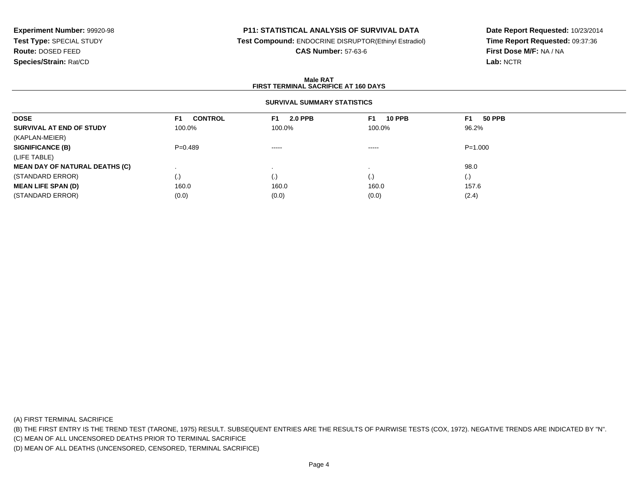# **P11: STATISTICAL ANALYSIS OF SURVIVAL DATA**

**Test Compound:** ENDOCRINE DISRUPTOR(Ethinyl Estradiol)

**CAS Number:** 57-63-6

**Date Report Requested:** 10/23/2014**Time Report Requested:** 09:37:36**First Dose M/F:** NA / NA**Lab:** NCTR

#### **Male RATFIRST TERMINAL SACRIFICE AT 160 DAYS**

### **SURVIVAL SUMMARY STATISTICS**

| <b>DOSE</b>                           | <b>CONTROL</b><br>F <sub>1</sub> | <b>2.0 PPB</b><br>F1. | <b>10 PPB</b><br>F1. | <b>50 PPB</b><br>F <sub>1</sub> |  |
|---------------------------------------|----------------------------------|-----------------------|----------------------|---------------------------------|--|
| SURVIVAL AT END OF STUDY              | 100.0%                           | 100.0%                | 100.0%               | 96.2%                           |  |
| (KAPLAN-MEIER)                        |                                  |                       |                      |                                 |  |
| <b>SIGNIFICANCE (B)</b>               | $P=0.489$                        | $- - - - -$           | -----                | $P = 1.000$                     |  |
| (LIFE TABLE)                          |                                  |                       |                      |                                 |  |
| <b>MEAN DAY OF NATURAL DEATHS (C)</b> |                                  |                       |                      | 98.0                            |  |
| (STANDARD ERROR)                      | (.)                              |                       | (.)                  | (.)                             |  |
| <b>MEAN LIFE SPAN (D)</b>             | 160.0                            | 160.0                 | 160.0                | 157.6                           |  |
| (STANDARD ERROR)                      | (0.0)                            | (0.0)                 | (0.0)                | (2.4)                           |  |

(A) FIRST TERMINAL SACRIFICE

(B) THE FIRST ENTRY IS THE TREND TEST (TARONE, 1975) RESULT. SUBSEQUENT ENTRIES ARE THE RESULTS OF PAIRWISE TESTS (COX, 1972). NEGATIVE TRENDS ARE INDICATED BY "N".

(C) MEAN OF ALL UNCENSORED DEATHS PRIOR TO TERMINAL SACRIFICE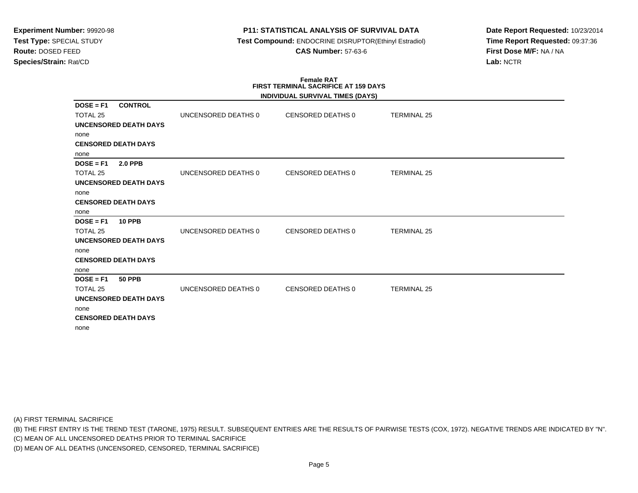### **P11: STATISTICAL ANALYSIS OF SURVIVAL DATA**

 **Test Compound:** ENDOCRINE DISRUPTOR(Ethinyl Estradiol)**CAS Number:** 57-63-6

**Date Report Requested:** 10/23/2014**Time Report Requested:** 09:37:36**First Dose M/F:** NA / NA**Lab:** NCTR

#### **Female RAT FIRST TERMINAL SACRIFICE AT 159 DAYSINDIVIDUAL SURVIVAL TIMES (DAYS)**

|                                                                               |                     | INDIVIDUAL SURVIVAL TIMES (DATS) |                    |  |
|-------------------------------------------------------------------------------|---------------------|----------------------------------|--------------------|--|
| <b>CONTROL</b><br>$DOSE = F1$<br>TOTAL <sub>25</sub><br>UNCENSORED DEATH DAYS | UNCENSORED DEATHS 0 | CENSORED DEATHS 0                | <b>TERMINAL 25</b> |  |
| none<br><b>CENSORED DEATH DAYS</b>                                            |                     |                                  |                    |  |
| none                                                                          |                     |                                  |                    |  |
| $DOSE = F1$<br><b>2.0 PPB</b><br>TOTAL 25<br>UNCENSORED DEATH DAYS            | UNCENSORED DEATHS 0 | CENSORED DEATHS 0                | <b>TERMINAL 25</b> |  |
| none<br><b>CENSORED DEATH DAYS</b><br>none                                    |                     |                                  |                    |  |
| $DOSE = F1$<br><b>10 PPB</b>                                                  |                     |                                  |                    |  |
| TOTAL 25                                                                      | UNCENSORED DEATHS 0 | CENSORED DEATHS 0                | <b>TERMINAL 25</b> |  |
| <b>UNCENSORED DEATH DAYS</b>                                                  |                     |                                  |                    |  |
| none<br><b>CENSORED DEATH DAYS</b><br>none                                    |                     |                                  |                    |  |
| $DOSE = F1$<br><b>50 PPB</b>                                                  |                     |                                  |                    |  |
| TOTAL 25                                                                      | UNCENSORED DEATHS 0 | CENSORED DEATHS 0                | <b>TERMINAL 25</b> |  |
| <b>UNCENSORED DEATH DAYS</b><br>none                                          |                     |                                  |                    |  |
| <b>CENSORED DEATH DAYS</b><br>none                                            |                     |                                  |                    |  |

(A) FIRST TERMINAL SACRIFICE

(B) THE FIRST ENTRY IS THE TREND TEST (TARONE, 1975) RESULT. SUBSEQUENT ENTRIES ARE THE RESULTS OF PAIRWISE TESTS (COX, 1972). NEGATIVE TRENDS ARE INDICATED BY "N".

(C) MEAN OF ALL UNCENSORED DEATHS PRIOR TO TERMINAL SACRIFICE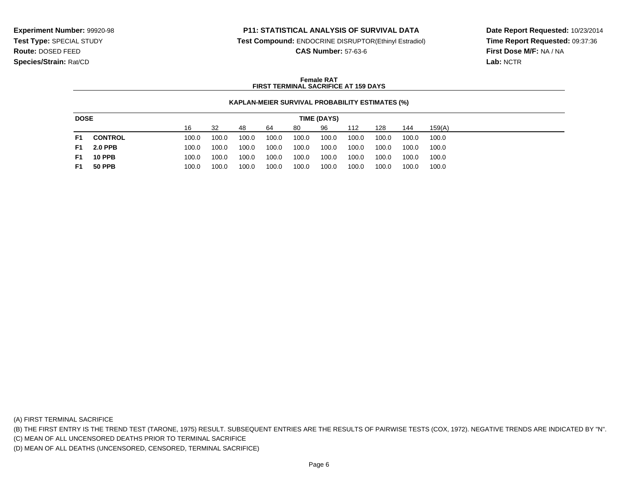### **P11: STATISTICAL ANALYSIS OF SURVIVAL DATA**

**Test Compound:** ENDOCRINE DISRUPTOR(Ethinyl Estradiol)

**CAS Number:** 57-63-6

**Date Report Requested:** 10/23/2014**Time Report Requested:** 09:37:36**First Dose M/F:** NA / NA**Lab:** NCTR

#### **Female RATFIRST TERMINAL SACRIFICE AT 159 DAYS**

#### **KAPLAN-MEIER SURVIVAL PROBABILITY ESTIMATES (%)**

| <b>DOSE</b> |                | TIME (DAYS) |       |       |       |       |       |       |       |       |        |
|-------------|----------------|-------------|-------|-------|-------|-------|-------|-------|-------|-------|--------|
|             |                | 16          | 32    | 48    | 64    | 80    | 96    | 112   | 128   | 144   | 159(A) |
| F1          | <b>CONTROL</b> | 100.0       | 100.0 | 100.0 | 100.0 | 100.0 | 100.0 | 100.0 | 100.0 | 100.0 | 100.0  |
| F1.         | <b>2.0 PPB</b> | 100.0       | 100.0 | 100.0 | 100.0 | 100.0 | 100.0 | 100.0 | 100.0 | 100.0 | 100.0  |
| F1          | <b>10 PPB</b>  | 100.0       | 100.0 | 100.0 | 100.0 | 100.0 | 100.0 | 100.0 | 100.0 | 100.0 | 100.0  |
| F1          | <b>50 PPB</b>  | 100.0       | 100.0 | 100.0 | 100.0 | 100.0 | 100.0 | 100.0 | 100.0 | 100.0 | 100.0  |

(A) FIRST TERMINAL SACRIFICE

(B) THE FIRST ENTRY IS THE TREND TEST (TARONE, 1975) RESULT. SUBSEQUENT ENTRIES ARE THE RESULTS OF PAIRWISE TESTS (COX, 1972). NEGATIVE TRENDS ARE INDICATED BY "N".

(C) MEAN OF ALL UNCENSORED DEATHS PRIOR TO TERMINAL SACRIFICE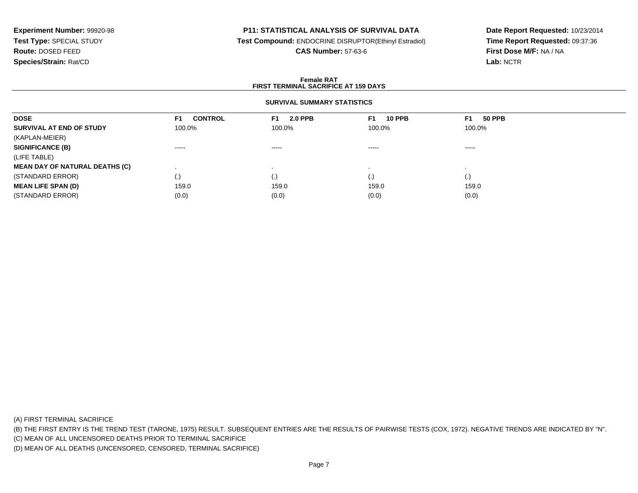### **P11: STATISTICAL ANALYSIS OF SURVIVAL DATA**

**Test Compound:** ENDOCRINE DISRUPTOR(Ethinyl Estradiol)

**CAS Number:** 57-63-6

**Date Report Requested:** 10/23/2014**Time Report Requested:** 09:37:36**First Dose M/F:** NA / NA**Lab:** NCTR

#### **Female RATFIRST TERMINAL SACRIFICE AT 159 DAYS**

### **SURVIVAL SUMMARY STATISTICS**

| <b>CONTROL</b><br>F1.  | <b>2.0 PPB</b><br>F1. | <b>10 PPB</b> | <b>50 PPB</b><br>F1       |
|------------------------|-----------------------|---------------|---------------------------|
| 100.0%                 | 100.0%                |               | 100.0%                    |
|                        |                       |               |                           |
| $\cdots \cdots \cdots$ | $- - - - -$           |               | ------                    |
|                        |                       |               |                           |
|                        |                       |               |                           |
| (.)                    | $\cdot$ ,             | (.)           | (.)                       |
| 159.0                  | 159.0                 | 159.0         | 159.0                     |
| (0.0)                  | (0.0)                 | (0.0)         | (0.0)                     |
|                        |                       |               | F1.<br>100.0%<br>$\cdots$ |

(A) FIRST TERMINAL SACRIFICE

(B) THE FIRST ENTRY IS THE TREND TEST (TARONE, 1975) RESULT. SUBSEQUENT ENTRIES ARE THE RESULTS OF PAIRWISE TESTS (COX, 1972). NEGATIVE TRENDS ARE INDICATED BY "N".

(C) MEAN OF ALL UNCENSORED DEATHS PRIOR TO TERMINAL SACRIFICE